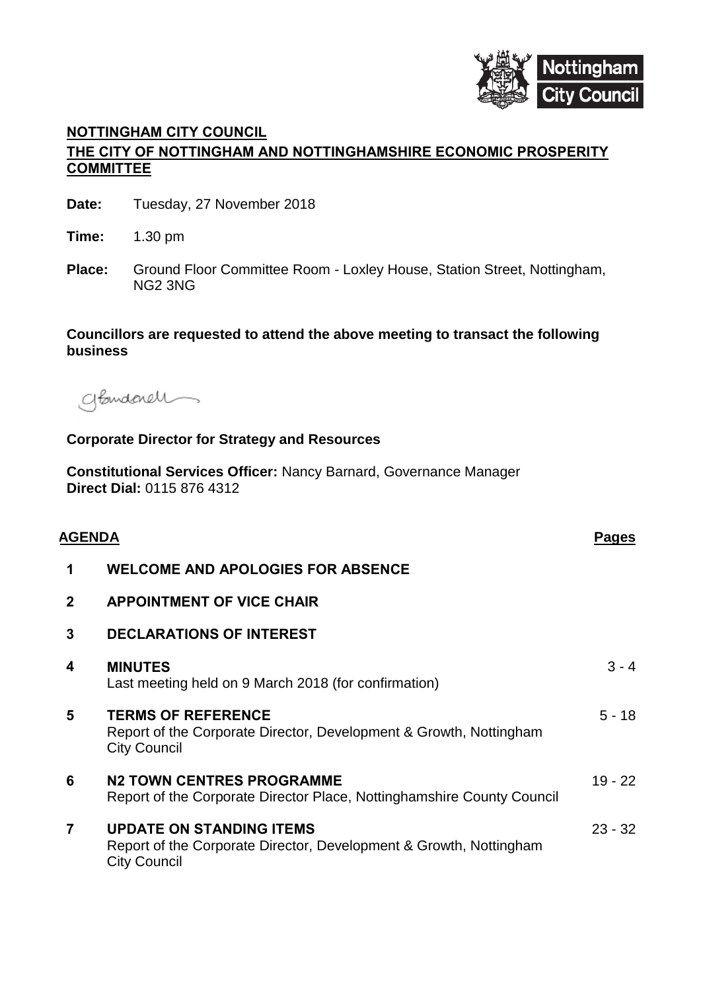

# **NOTTINGHAM CITY COUNCIL THE CITY OF NOTTINGHAM AND NOTTINGHAMSHIRE ECONOMIC PROSPERITY COMMITTEE**

| Date: | Tuesday, 27 November 2018 |
|-------|---------------------------|
|-------|---------------------------|

**Time:** 1.30 pm

**Place:** Ground Floor Committee Room - Loxley House, Station Street, Nottingham, NG2 3NG

## **Councillors are requested to attend the above meeting to transact the following business**

glandenell

#### **Corporate Director for Strategy and Resources**

**Constitutional Services Officer:** Nancy Barnard, Governance Manager **Direct Dial:** 0115 876 4312

| <b>AGENDA</b> |                                                                                                                              | <b>Pages</b> |
|---------------|------------------------------------------------------------------------------------------------------------------------------|--------------|
| 1             | <b>WELCOME AND APOLOGIES FOR ABSENCE</b>                                                                                     |              |
| $\mathbf 2$   | <b>APPOINTMENT OF VICE CHAIR</b>                                                                                             |              |
| 3             | <b>DECLARATIONS OF INTEREST</b>                                                                                              |              |
| 4             | <b>MINUTES</b><br>Last meeting held on 9 March 2018 (for confirmation)                                                       | $3 - 4$      |
| 5             | <b>TERMS OF REFERENCE</b><br>Report of the Corporate Director, Development & Growth, Nottingham<br><b>City Council</b>       | $5 - 18$     |
| 6             | <b>N2 TOWN CENTRES PROGRAMME</b><br>Report of the Corporate Director Place, Nottinghamshire County Council                   | $19 - 22$    |
| 7             | <b>UPDATE ON STANDING ITEMS</b><br>Report of the Corporate Director, Development & Growth, Nottingham<br><b>City Council</b> | $23 - 32$    |